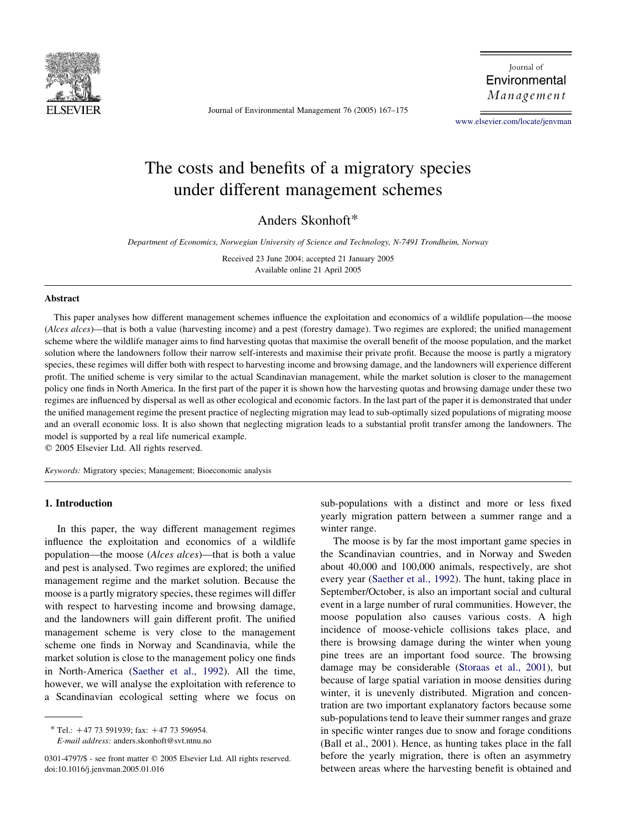

Journal of Environmental Management 76 (2005) 167–175

Journal of Environmental Management

[www.elsevier.com/locate/jenvman](http://www.elsevier.com/locate/jnlabr/jenvman)

# The costs and benefits of a migratory species under different management schemes

Anders Skonhoft\*

Department of Economics, Norwegian University of Science and Technology, N-7491 Trondheim, Norway

Received 23 June 2004; accepted 21 January 2005 Available online 21 April 2005

## Abstract

This paper analyses how different management schemes influence the exploitation and economics of a wildlife population—the moose (Alces alces)—that is both a value (harvesting income) and a pest (forestry damage). Two regimes are explored; the unified management scheme where the wildlife manager aims to find harvesting quotas that maximise the overall benefit of the moose population, and the market solution where the landowners follow their narrow self-interests and maximise their private profit. Because the moose is partly a migratory species, these regimes will differ both with respect to harvesting income and browsing damage, and the landowners will experience different profit. The unified scheme is very similar to the actual Scandinavian management, while the market solution is closer to the management policy one finds in North America. In the first part of the paper it is shown how the harvesting quotas and browsing damage under these two regimes are influenced by dispersal as well as other ecological and economic factors. In the last part of the paper it is demonstrated that under the unified management regime the present practice of neglecting migration may lead to sub-optimally sized populations of migrating moose and an overall economic loss. It is also shown that neglecting migration leads to a substantial profit transfer among the landowners. The model is supported by a real life numerical example.

 $© 2005 Elsevier Ltd. All rights reserved.$ 

Keywords: Migratory species; Management; Bioeconomic analysis

## 1. Introduction

In this paper, the way different management regimes influence the exploitation and economics of a wildlife population—the moose (Alces alces)—that is both a value and pest is analysed. Two regimes are explored; the unified management regime and the market solution. Because the moose is a partly migratory species, these regimes will differ with respect to harvesting income and browsing damage, and the landowners will gain different profit. The unified management scheme is very close to the management scheme one finds in Norway and Scandinavia, while the market solution is close to the management policy one finds in North-America [\(Saether et al., 1992](#page-8-0)). All the time, however, we will analyse the exploitation with reference to a Scandinavian ecological setting where we focus on

 $*$  Tel.: +47 73 591939; fax: +47 73 596954. E-mail address: anders.skonhoft@svt.ntnu.no sub-populations with a distinct and more or less fixed yearly migration pattern between a summer range and a winter range.

The moose is by far the most important game species in the Scandinavian countries, and in Norway and Sweden about 40,000 and 100,000 animals, respectively, are shot every year ([Saether et al., 1992](#page-8-0)). The hunt, taking place in September/October, is also an important social and cultural event in a large number of rural communities. However, the moose population also causes various costs. A high incidence of moose-vehicle collisions takes place, and there is browsing damage during the winter when young pine trees are an important food source. The browsing damage may be considerable [\(Storaas et al., 2001](#page-8-0)), but because of large spatial variation in moose densities during winter, it is unevenly distributed. Migration and concentration are two important explanatory factors because some sub-populations tend to leave their summer ranges and graze in specific winter ranges due to snow and forage conditions (Ball et al., 2001). Hence, as hunting takes place in the fall before the yearly migration, there is often an asymmetry between areas where the harvesting benefit is obtained and

<sup>0301-4797/\$ -</sup> see front matter © 2005 Elsevier Ltd. All rights reserved. doi:10.1016/j.jenvman.2005.01.016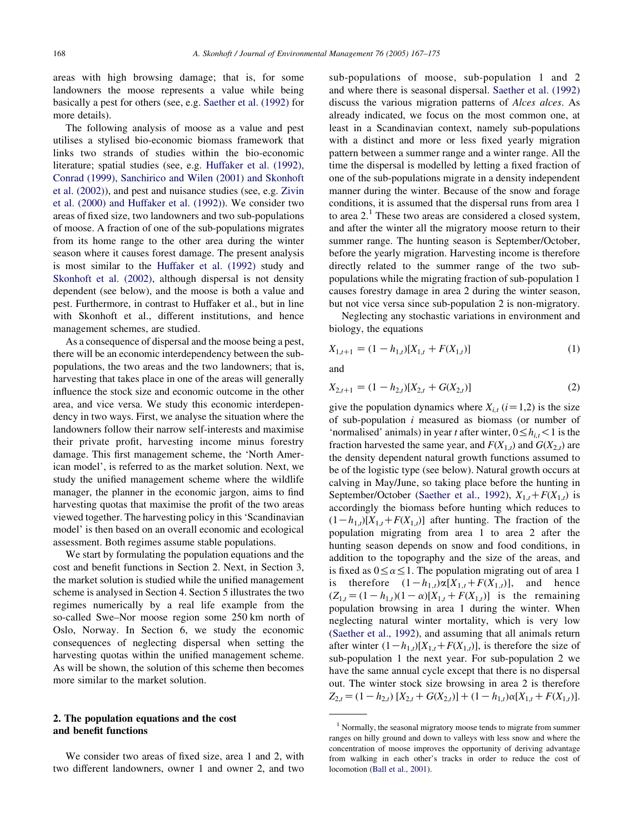areas with high browsing damage; that is, for some landowners the moose represents a value while being basically a pest for others (see, e.g. [Saether et al. \(1992\)](#page-8-0) for more details).

The following analysis of moose as a value and pest utilises a stylised bio-economic biomass framework that links two strands of studies within the bio-economic literature; spatial studies (see, e.g. [Huffaker et al. \(1992\),](#page-8-0) [Conrad \(1999\), Sanchirico and Wilen \(2001\) and Skonhoft](#page-8-0) [et al. \(2002\)\)](#page-8-0), and pest and nuisance studies (see, e.g. [Zivin](#page-8-0) [et al. \(2000\) and Huffaker et al. \(1992\)](#page-8-0)). We consider two areas of fixed size, two landowners and two sub-populations of moose. A fraction of one of the sub-populations migrates from its home range to the other area during the winter season where it causes forest damage. The present analysis is most similar to the [Huffaker et al. \(1992\)](#page-8-0) study and [Skonhoft et al. \(2002\),](#page-8-0) although dispersal is not density dependent (see below), and the moose is both a value and pest. Furthermore, in contrast to Huffaker et al., but in line with Skonhoft et al., different institutions, and hence management schemes, are studied.

As a consequence of dispersal and the moose being a pest, there will be an economic interdependency between the subpopulations, the two areas and the two landowners; that is, harvesting that takes place in one of the areas will generally influence the stock size and economic outcome in the other area, and vice versa. We study this economic interdependency in two ways. First, we analyse the situation where the landowners follow their narrow self-interests and maximise their private profit, harvesting income minus forestry damage. This first management scheme, the 'North American model', is referred to as the market solution. Next, we study the unified management scheme where the wildlife manager, the planner in the economic jargon, aims to find harvesting quotas that maximise the profit of the two areas viewed together. The harvesting policy in this 'Scandinavian model' is then based on an overall economic and ecological assessment. Both regimes assume stable populations.

We start by formulating the population equations and the cost and benefit functions in Section 2. Next, in Section 3, the market solution is studied while the unified management scheme is analysed in Section 4. Section 5 illustrates the two regimes numerically by a real life example from the so-called Swe–Nor moose region some 250 km north of Oslo, Norway. In Section 6, we study the economic consequences of neglecting dispersal when setting the harvesting quotas within the unified management scheme. As will be shown, the solution of this scheme then becomes more similar to the market solution.

## 2. The population equations and the cost and benefit functions

We consider two areas of fixed size, area 1 and 2, with two different landowners, owner 1 and owner 2, and two sub-populations of moose, sub-population 1 and 2 and where there is seasonal dispersal. [Saether et al. \(1992\)](#page-8-0) discuss the various migration patterns of Alces alces. As already indicated, we focus on the most common one, at least in a Scandinavian context, namely sub-populations with a distinct and more or less fixed yearly migration pattern between a summer range and a winter range. All the time the dispersal is modelled by letting a fixed fraction of one of the sub-populations migrate in a density independent manner during the winter. Because of the snow and forage conditions, it is assumed that the dispersal runs from area 1 to area  $2<sup>1</sup>$ . These two areas are considered a closed system, and after the winter all the migratory moose return to their summer range. The hunting season is September/October, before the yearly migration. Harvesting income is therefore directly related to the summer range of the two subpopulations while the migrating fraction of sub-population 1 causes forestry damage in area 2 during the winter season, but not vice versa since sub-population 2 is non-migratory.

Neglecting any stochastic variations in environment and biology, the equations

$$
X_{1,t+1} = (1 - h_{1,t})[X_{1,t} + F(X_{1,t})]
$$
\n<sup>(1)</sup>

and

$$
X_{2,t+1} = (1 - h_{2,t})[X_{2,t} + G(X_{2,t})]
$$
\n(2)

give the population dynamics where  $X_{i,t}$  ( $i=1,2$ ) is the size of sub-population  $i$  measured as biomass (or number of 'normalised' animals) in year t after winter,  $0 \le h_i$ ,  $\lt 1$  is the fraction harvested the same year, and  $F(X_{1,t})$  and  $G(X_{2,t})$  are the density dependent natural growth functions assumed to be of the logistic type (see below). Natural growth occurs at calving in May/June, so taking place before the hunting in September/October [\(Saether et al., 1992](#page-8-0)),  $X_{1,t} + F(X_{1,t})$  is accordingly the biomass before hunting which reduces to  $(1-h_{1,t})[X_{1,t}+F(X_{1,t})]$  after hunting. The fraction of the population migrating from area 1 to area 2 after the hunting season depends on snow and food conditions, in addition to the topography and the size of the areas, and is fixed as  $0 \le \alpha \le 1$ . The population migrating out of area 1 is therefore  $(1-h_{1,t})\alpha[X_{1,t}+F(X_{1,t})]$ , and hence  $(Z_{1,t} = (1 - h_{1,t})(1 - \alpha)[X_{1,t} + F(X_{1,t})]$  is the remaining population browsing in area 1 during the winter. When neglecting natural winter mortality, which is very low ([Saether et al., 1992\)](#page-8-0), and assuming that all animals return after winter  $(1-h_{1,t})[X_{1,t}+F(X_{1,t})]$ , is therefore the size of sub-population 1 the next year. For sub-population 2 we have the same annual cycle except that there is no dispersal out. The winter stock size browsing in area 2 is therefore  $Z_{2,t} = (1-h_{2,t})\left[X_{2,t}+G(X_{2,t})\right] + (1-h_{1,t})\alpha[X_{1,t}+F(X_{1,t})].$ 

<sup>&</sup>lt;sup>1</sup> Normally, the seasonal migratory moose tends to migrate from summer ranges on hilly ground and down to valleys with less snow and where the concentration of moose improves the opportunity of deriving advantage from walking in each other's tracks in order to reduce the cost of locomotion [\(Ball et al., 2001\)](#page-8-0).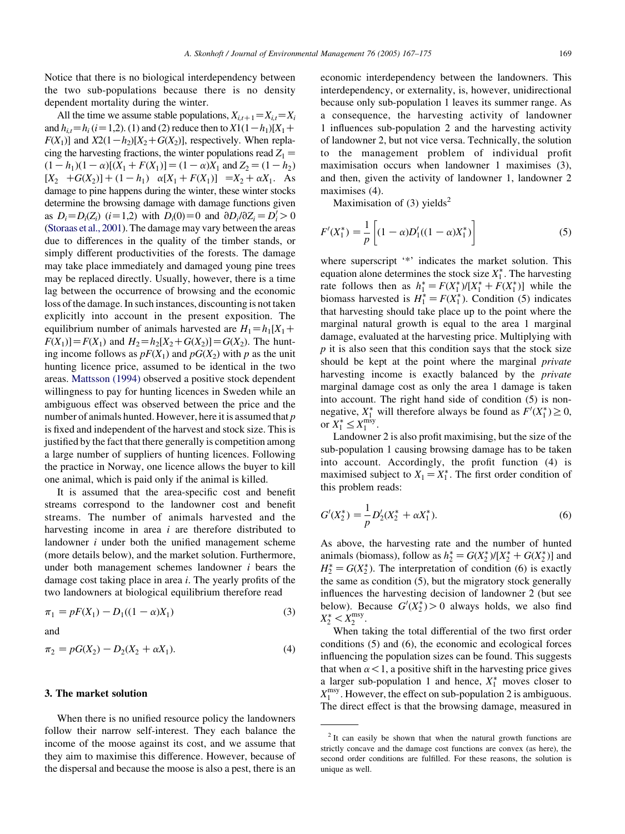Notice that there is no biological interdependency between the two sub-populations because there is no density dependent mortality during the winter.

All the time we assume stable populations,  $X_{i,t+1} = X_{i,t} = X_i$ and  $h_{i,t} = h_i$  (i = 1,2). (1) and (2) reduce then to  $X1(1-h_1)[X_1 +$  $F(X_1)$ ] and  $X2(1-h_2)[X_2+G(X_2)]$ , respectively. When replacing the harvesting fractions, the winter populations read  $Z_1 =$  $(1-h_1)(1-\alpha)[(X_1+F(X_1)]=(1-\alpha)X_1$  and  $Z_2=(1-h_2)$  $[X_2 + G(X_2)] + (1 - h_1) \alpha [X_1 + F(X_1)] = X_2 + \alpha X_1$ . As damage to pine happens during the winter, these winter stocks determine the browsing damage with damage functions given as  $D_i = D_i(Z_i)$  (i=1,2) with  $D_i(0) = 0$  and  $\partial D_i/\partial Z_i = D_i' > 0$ ([Storaas et al., 2001](#page-8-0)). The damage may vary between the areas due to differences in the quality of the timber stands, or simply different productivities of the forests. The damage may take place immediately and damaged young pine trees may be replaced directly. Usually, however, there is a time lag between the occurrence of browsing and the economic loss of the damage. In such instances, discounting is not taken explicitly into account in the present exposition. The equilibrium number of animals harvested are  $H_1 = h_1[X_1 +$  $F(X_1)$ ]= $F(X_1)$  and  $H_2=h_2[X_2+G(X_2)]=G(X_2)$ . The hunting income follows as  $pF(X_1)$  and  $pG(X_2)$  with p as the unit hunting licence price, assumed to be identical in the two areas. [Mattsson \(1994\)](#page-8-0) observed a positive stock dependent willingness to pay for hunting licences in Sweden while an ambiguous effect was observed between the price and the number of animals hunted. However, here it is assumed that p is fixed and independent of the harvest and stock size. This is justified by the fact that there generally is competition among a large number of suppliers of hunting licences. Following the practice in Norway, one licence allows the buyer to kill one animal, which is paid only if the animal is killed.

It is assumed that the area-specific cost and benefit streams correspond to the landowner cost and benefit streams. The number of animals harvested and the harvesting income in area *i* are therefore distributed to landowner  $i$  under both the unified management scheme (more details below), and the market solution. Furthermore, under both management schemes landowner  $i$  bears the damage cost taking place in area i. The yearly profits of the two landowners at biological equilibrium therefore read

$$
\pi_1 = pF(X_1) - D_1((1 - \alpha)X_1)
$$
\n(3)

and

$$
\pi_2 = pG(X_2) - D_2(X_2 + \alpha X_1). \tag{4}
$$

## 3. The market solution

When there is no unified resource policy the landowners follow their narrow self-interest. They each balance the income of the moose against its cost, and we assume that they aim to maximise this difference. However, because of the dispersal and because the moose is also a pest, there is an

economic interdependency between the landowners. This interdependency, or externality, is, however, unidirectional because only sub-population 1 leaves its summer range. As a consequence, the harvesting activity of landowner 1 influences sub-population 2 and the harvesting activity of landowner 2, but not vice versa. Technically, the solution to the management problem of individual profit maximisation occurs when landowner 1 maximises (3), and then, given the activity of landowner 1, landowner 2 maximises  $(4)$ .

Maximisation of  $(3)$  yields<sup>2</sup>

$$
F'(X_1^*) = \frac{1}{p} \left[ (1 - \alpha) D_1'((1 - \alpha) X_1^*) \right] \tag{5}
$$

where superscript '\*' indicates the market solution. This equation alone determines the stock size  $X_1^*$ . The harvesting rate follows then as  $h_1^* = F(X_1^*)/[X_1^* + F(X_1^*)]$  while the biomass harvested is  $H_1^* = F(X_1^*)$ . Condition (5) indicates that harvesting should take place up to the point where the marginal natural growth is equal to the area 1 marginal damage, evaluated at the harvesting price. Multiplying with  $p$  it is also seen that this condition says that the stock size should be kept at the point where the marginal private harvesting income is exactly balanced by the *private* marginal damage cost as only the area 1 damage is taken into account. The right hand side of condition (5) is nonnegative,  $X_1^*$  will therefore always be found as  $F'(X_1^*) \geq 0$ , or  $X_1^* \leq X_1^{\text{msy}}$ .

Landowner 2 is also profit maximising, but the size of the sub-population 1 causing browsing damage has to be taken into account. Accordingly, the profit function (4) is maximised subject to  $X_1 = X_1^*$ . The first order condition of this problem reads:

$$
G'(X_2^*) = \frac{1}{p} D_2'(X_2^* + \alpha X_1^*).
$$
 (6)

As above, the harvesting rate and the number of hunted animals (biomass), follow as  $h_2^* = G(X_2^*)/[X_2^* + G(X_2^*)]$  and  $H_2^* = G(X_2^*)$ . The interpretation of condition (6) is exactly the same as condition (5), but the migratory stock generally influences the harvesting decision of landowner 2 (but see below). Because  $G'(X_2^*) > 0$  always holds, we also find  $X_2^* < X_2^{\text{msy}}.$ 

When taking the total differential of the two first order conditions (5) and (6), the economic and ecological forces influencing the population sizes can be found. This suggests that when  $\alpha$  < 1, a positive shift in the harvesting price gives a larger sub-population 1 and hence,  $X_1^*$  moves closer to  $X_1^{\text{msy}}$ . However, the effect on sub-population 2 is ambiguous. The direct effect is that the browsing damage, measured in

<sup>&</sup>lt;sup>2</sup> It can easily be shown that when the natural growth functions are strictly concave and the damage cost functions are convex (as here), the second order conditions are fulfilled. For these reasons, the solution is unique as well.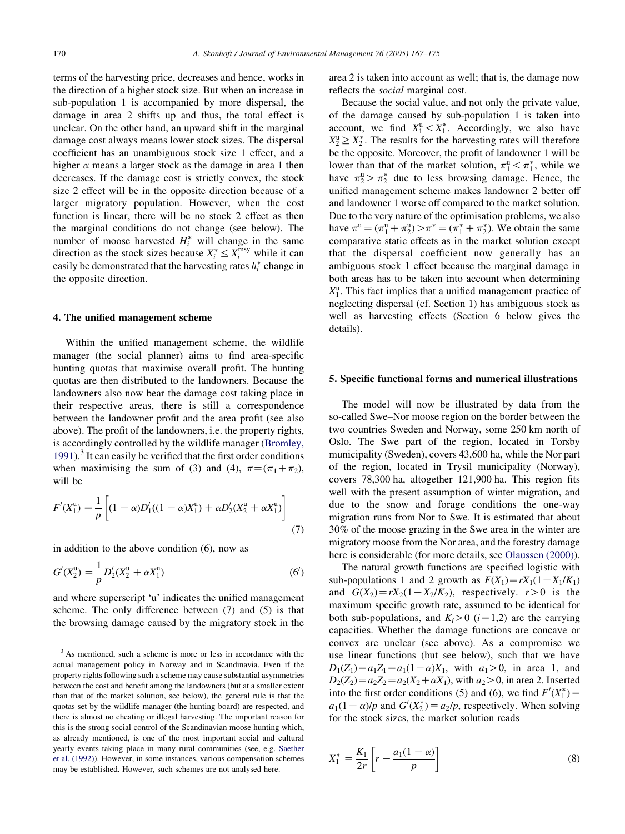terms of the harvesting price, decreases and hence, works in the direction of a higher stock size. But when an increase in sub-population 1 is accompanied by more dispersal, the damage in area 2 shifts up and thus, the total effect is unclear. On the other hand, an upward shift in the marginal damage cost always means lower stock sizes. The dispersal coefficient has an unambiguous stock size 1 effect, and a higher  $\alpha$  means a larger stock as the damage in area 1 then decreases. If the damage cost is strictly convex, the stock size 2 effect will be in the opposite direction because of a larger migratory population. However, when the cost function is linear, there will be no stock 2 effect as then the marginal conditions do not change (see below). The number of moose harvested  $H_i^*$  will change in the same direction as the stock sizes because  $X_i^* \leq X_i^{\text{msg}}$  while it can easily be demonstrated that the harvesting rates  $h_i^*$  change in the opposite direction.

### 4. The unified management scheme

Within the unified management scheme, the wildlife manager (the social planner) aims to find area-specific hunting quotas that maximise overall profit. The hunting quotas are then distributed to the landowners. Because the landowners also now bear the damage cost taking place in their respective areas, there is still a correspondence between the landowner profit and the area profit (see also above). The profit of the landowners, i.e. the property rights, is accordingly controlled by the wildlife manager [\(Bromley,](#page-8-0)  $1991$ .<sup>3</sup> It can easily be verified that the first order conditions when maximising the sum of (3) and (4),  $\pi = (\pi_1 + \pi_2)$ , will be

$$
F'(X_1^{\mathrm{u}}) = \frac{1}{p} \left[ (1 - \alpha) D_1'((1 - \alpha)X_1^{\mathrm{u}}) + \alpha D_2'(X_2^{\mathrm{u}} + \alpha X_1^{\mathrm{u}}) \right]
$$
(7)

in addition to the above condition (6), now as

$$
G'(X_2^{\mathrm{u}}) = \frac{1}{p} D_2'(X_2^{\mathrm{u}} + \alpha X_1^{\mathrm{u}})
$$
 (6')

and where superscript 'u' indicates the unified management scheme. The only difference between (7) and (5) is that the browsing damage caused by the migratory stock in the area 2 is taken into account as well; that is, the damage now reflects the social marginal cost.

Because the social value, and not only the private value, of the damage caused by sub-population 1 is taken into account, we find  $X_1^u < X_1^*$ . Accordingly, we also have  $X_2^{\text{u}} \geq X_2^*$ . The results for the harvesting rates will therefore be the opposite. Moreover, the profit of landowner 1 will be lower than that of the market solution,  $\pi_1^u < \pi_1^*$ , while we have  $\pi_2^u > \pi_2^*$  due to less browsing damage. Hence, the unified management scheme makes landowner 2 better off and landowner 1 worse off compared to the market solution. Due to the very nature of the optimisation problems, we also have  $\pi^{\text{u}} = (\pi_1^{\text{u}} + \pi_2^{\text{u}}) > \pi^* = (\pi_1^* + \pi_2^*)$ . We obtain the same comparative static effects as in the market solution except that the dispersal coefficient now generally has an ambiguous stock 1 effect because the marginal damage in both areas has to be taken into account when determining  $X_1^u$ . This fact implies that a unified management practice of neglecting dispersal (cf. Section 1) has ambiguous stock as well as harvesting effects (Section 6 below gives the details).

#### 5. Specific functional forms and numerical illustrations

The model will now be illustrated by data from the so-called Swe–Nor moose region on the border between the two countries Sweden and Norway, some 250 km north of Oslo. The Swe part of the region, located in Torsby municipality (Sweden), covers 43,600 ha, while the Nor part of the region, located in Trysil municipality (Norway), covers 78,300 ha, altogether 121,900 ha. This region fits well with the present assumption of winter migration, and due to the snow and forage conditions the one-way migration runs from Nor to Swe. It is estimated that about 30% of the moose grazing in the Swe area in the winter are migratory moose from the Nor area, and the forestry damage here is considerable (for more details, see [Olaussen \(2000\)\)](#page-8-0).

The natural growth functions are specified logistic with sub-populations 1 and 2 growth as  $F(X_1)=rX_1(1-X_1/K_1)$ and  $G(X_2) = rX_2(1-X_2/K_2)$ , respectively.  $r>0$  is the maximum specific growth rate, assumed to be identical for both sub-populations, and  $K_i>0$  ( $i=1,2$ ) are the carrying capacities. Whether the damage functions are concave or convex are unclear (see above). As a compromise we use linear functions (but see below), such that we have  $D_1(Z_1) = a_1Z_1 = a_1(1-\alpha)X_1$ , with  $a_1 > 0$ , in area 1, and  $D_2(Z_2)=a_2Z_2=a_2(X_2+\alpha X_1)$ , with  $a_2>0$ , in area 2. Inserted into the first order conditions (5) and (6), we find  $F'(X_1^*) =$  $a_1(1 - \alpha)/p$  and  $G'(X_2^*) = a_2/p$ , respectively. When solving for the stock sizes, the market solution reads

$$
X_1^* = \frac{K_1}{2r} \left[ r - \frac{a_1(1-\alpha)}{p} \right]
$$
 (8)

<sup>&</sup>lt;sup>3</sup> As mentioned, such a scheme is more or less in accordance with the actual management policy in Norway and in Scandinavia. Even if the property rights following such a scheme may cause substantial asymmetries between the cost and benefit among the landowners (but at a smaller extent than that of the market solution, see below), the general rule is that the quotas set by the wildlife manager (the hunting board) are respected, and there is almost no cheating or illegal harvesting. The important reason for this is the strong social control of the Scandinavian moose hunting which, as already mentioned, is one of the most important social and cultural yearly events taking place in many rural communities (see, e.g. [Saether](#page-8-0) [et al. \(1992\)\)](#page-8-0). However, in some instances, various compensation schemes may be established. However, such schemes are not analysed here.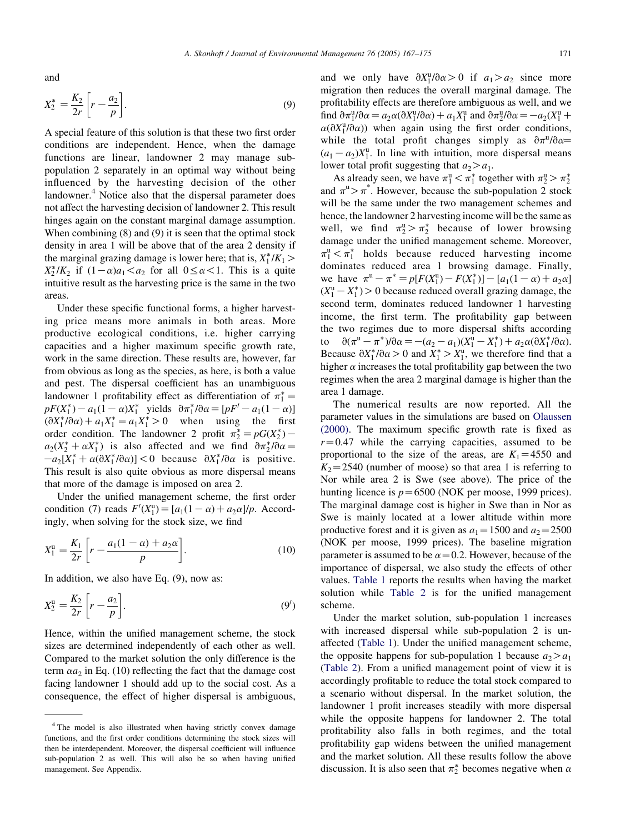and

$$
X_2^* = \frac{K_2}{2r} \left[ r - \frac{a_2}{p} \right].
$$
\n
$$
(9)
$$

A special feature of this solution is that these two first order conditions are independent. Hence, when the damage functions are linear, landowner 2 may manage subpopulation 2 separately in an optimal way without being influenced by the harvesting decision of the other landowner.<sup>4</sup> Notice also that the dispersal parameter does not affect the harvesting decision of landowner 2. This result hinges again on the constant marginal damage assumption. When combining (8) and (9) it is seen that the optimal stock density in area 1 will be above that of the area 2 density if the marginal grazing damage is lower here; that is,  $X_1^*/K_1$  >  $X_2^*/K_2$  if  $(1-\alpha)a_1 < a_2$  for all  $0 \le \alpha < 1$ . This is a quite intuitive result as the harvesting price is the same in the two areas.

Under these specific functional forms, a higher harvesting price means more animals in both areas. More productive ecological conditions, i.e. higher carrying capacities and a higher maximum specific growth rate, work in the same direction. These results are, however, far from obvious as long as the species, as here, is both a value and pest. The dispersal coefficient has an unambiguous landowner 1 profitability effect as differentiation of  $\pi_1^* =$  $pF(X_1^*) - a_1(1 - \alpha)X_1^*$  yields  $\partial \pi_1^* / \partial \alpha = [pF' - a_1(1 - \alpha)]$  $\left(\frac{\partial X_1^*}{\partial \alpha}\right) + a_1 X_1^* = a_1 X_1^* > 0$  when using the first order condition. The landowner 2 profit  $\pi_2^* = pG(X_2^*)$  –  $a_2(X_2^* + \alpha X_1^*)$  is also affected and we find  $\partial \pi_2^* / \partial \alpha =$  $-a_2[X_1^* + \alpha(\partial X_1^*/\partial \alpha)] < 0$  because  $\partial X_1^* / \partial \alpha$  is positive. This result is also quite obvious as more dispersal means that more of the damage is imposed on area 2.

Under the unified management scheme, the first order condition (7) reads  $F'(X_1^u) = [a_1(1 - \alpha) + a_2\alpha]/p$ . Accordingly, when solving for the stock size, we find

$$
X_1^{\rm u} = \frac{K_1}{2r} \left[ r - \frac{a_1(1-\alpha) + a_2\alpha}{p} \right].
$$
 (10)

In addition, we also have Eq. (9), now as:

$$
X_2^{\mathrm{u}} = \frac{K_2}{2r} \left[ r - \frac{a_2}{p} \right].\tag{9'}
$$

Hence, within the unified management scheme, the stock sizes are determined independently of each other as well. Compared to the market solution the only difference is the term  $\alpha a_2$  in Eq. (10) reflecting the fact that the damage cost facing landowner 1 should add up to the social cost. As a consequence, the effect of higher dispersal is ambiguous,

and we only have  $\partial X_1^{\mathfrak{u}} / \partial \alpha > 0$  if  $a_1 > a_2$  since more migration then reduces the overall marginal damage. The profitability effects are therefore ambiguous as well, and we find  $\partial \pi_1^{\mathfrak{u}} / \partial \alpha = a_2 \alpha (\partial X_1^{\mathfrak{u}} / \partial \alpha) + a_1 X_1^{\mathfrak{u}}$  and  $\partial \pi_2^{\mathfrak{u}} / \partial \alpha = -a_2(X_1^{\mathfrak{u}} +$  $\alpha(\partial X_1^{\mathfrak{u}}/\partial\alpha)$  when again using the first order conditions, while the total profit changes simply as  $\partial \pi^u / \partial \alpha$  $(a_1 - a_2)X_1^u$ . In line with intuition, more dispersal means lower total profit suggesting that  $a_2 > a_1$ .

As already seen, we have  $\pi_1^u < \pi_1^*$  together with  $\pi_2^u > \pi_2^*$ and  $\pi^u > \pi^*$ . However, because the sub-population 2 stock will be the same under the two management schemes and hence, the landowner 2 harvesting income will be the same as well, we find  $\pi_2^u > \pi_2^*$  because of lower browsing damage under the unified management scheme. Moreover,  $\pi_1^u < \pi_1^*$  holds because reduced harvesting income dominates reduced area 1 browsing damage. Finally, we have  $\pi^u - \pi^* = p[F(X_1^u) - F(X_1^*)] - [a_1(1 - \alpha) + a_2\alpha]$  $(X_1^u - X_1^*) > 0$  because reduced overall grazing damage, the second term, dominates reduced landowner 1 harvesting income, the first term. The profitability gap between the two regimes due to more dispersal shifts according to  $\partial(\pi^u - \pi^*)/\partial \alpha = -(a_2 - a_1)(X_1^{\bar{u}} - X_1^*) + a_2 \alpha (\partial X_1^* / \partial \alpha).$ Because  $\partial X_1^* / \partial \alpha > 0$  and  $X_1^* > X_1^0$ , we therefore find that a higher  $\alpha$  increases the total profitability gap between the two regimes when the area 2 marginal damage is higher than the area 1 damage.

The numerical results are now reported. All the parameter values in the simulations are based on [Olaussen](#page-8-0) [\(2000\)](#page-8-0). The maximum specific growth rate is fixed as  $r=0.47$  while the carrying capacities, assumed to be proportional to the size of the areas, are  $K_1 = 4550$  and  $K_2$ =2540 (number of moose) so that area 1 is referring to Nor while area 2 is Swe (see above). The price of the hunting licence is  $p=6500$  (NOK per moose, 1999 prices). The marginal damage cost is higher in Swe than in Nor as Swe is mainly located at a lower altitude within more productive forest and it is given as  $a_1 = 1500$  and  $a_2 = 2500$ (NOK per moose, 1999 prices). The baseline migration parameter is assumed to be  $\alpha$  = 0.2. However, because of the importance of dispersal, we also study the effects of other values. [Table 1](#page-5-0) reports the results when having the market solution while [Table 2](#page-5-0) is for the unified management scheme.

Under the market solution, sub-population 1 increases with increased dispersal while sub-population 2 is unaffected ([Table 1\)](#page-5-0). Under the unified management scheme, the opposite happens for sub-population 1 because  $a_2 > a_1$ ([Table 2](#page-5-0)). From a unified management point of view it is accordingly profitable to reduce the total stock compared to a scenario without dispersal. In the market solution, the landowner 1 profit increases steadily with more dispersal while the opposite happens for landowner 2. The total profitability also falls in both regimes, and the total profitability gap widens between the unified management and the market solution. All these results follow the above discussion. It is also seen that  $\pi_2^*$  becomes negative when  $\alpha$ 

<sup>4</sup> The model is also illustrated when having strictly convex damage functions, and the first order conditions determining the stock sizes will then be interdependent. Moreover, the dispersal coefficient will influence sub-population 2 as well. This will also be so when having unified management. See Appendix.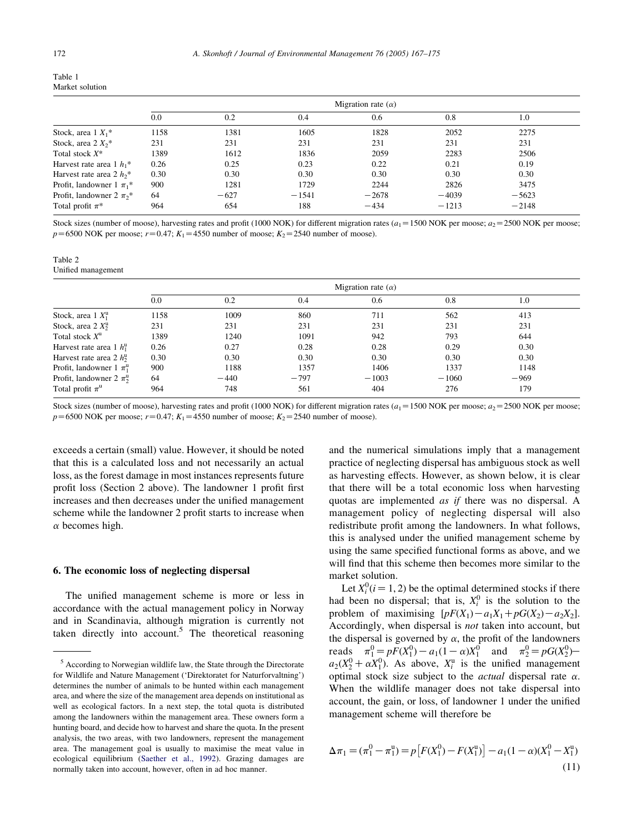<span id="page-5-0"></span>

| Table 1         |
|-----------------|
| Market solution |

|                                          | Migration rate $(\alpha)$ |        |         |         |         |         |  |
|------------------------------------------|---------------------------|--------|---------|---------|---------|---------|--|
|                                          | 0.0                       | 0.2    | 0.4     | 0.6     | 0.8     | 1.0     |  |
| Stock, area $1 X_1^*$                    | 1158                      | 1381   | 1605    | 1828    | 2052    | 2275    |  |
| Stock, area $2 X_2$ <sup>*</sup>         | 231                       | 231    | 231     | 231     | 231     | 231     |  |
| Total stock $X^*$                        | 1389                      | 1612   | 1836    | 2059    | 2283    | 2506    |  |
| Harvest rate area 1 $h_1$ <sup>*</sup>   | 0.26                      | 0.25   | 0.23    | 0.22    | 0.21    | 0.19    |  |
| Harvest rate area 2 $h_2$ <sup>*</sup>   | 0.30                      | 0.30   | 0.30    | 0.30    | 0.30    | 0.30    |  |
| Profit, landowner $1 \pi_1^*$            | 900                       | 1281   | 1729    | 2244    | 2826    | 3475    |  |
| Profit, landowner 2 $\pi_2$ <sup>*</sup> | 64                        | $-627$ | $-1541$ | $-2678$ | $-4039$ | $-5623$ |  |
| Total profit $\pi^*$                     | 964                       | 654    | 188     | $-434$  | $-1213$ | $-2148$ |  |

Stock sizes (number of moose), harvesting rates and profit (1000 NOK) for different migration rates ( $a_1$  = 1500 NOK per moose;  $a_2$  = 2500 NOK per moose;  $p=6500$  NOK per moose;  $r=0.47$ ;  $K_1=4550$  number of moose;  $K_2=2540$  number of moose).

| Table 2 |                    |
|---------|--------------------|
|         | Unified management |

|                                        | Migration rate $(\alpha)$ |        |        |         |         |        |  |  |
|----------------------------------------|---------------------------|--------|--------|---------|---------|--------|--|--|
|                                        | 0.0                       | 0.2    | 0.4    | 0.6     | 0.8     | 1.0    |  |  |
| Stock, area $1 X_1^u$                  | 1158                      | 1009   | 860    | 711     | 562     | 413    |  |  |
| Stock, area $2 X_2^u$                  | 231                       | 231    | 231    | 231     | 231     | 231    |  |  |
| Total stock $X^u$                      | 1389                      | 1240   | 1091   | 942     | 793     | 644    |  |  |
| Harvest rate area 1 $h_1^{\mathrm{u}}$ | 0.26                      | 0.27   | 0.28   | 0.28    | 0.29    | 0.30   |  |  |
| Harvest rate area 2 $h_2^{\rm u}$      | 0.30                      | 0.30   | 0.30   | 0.30    | 0.30    | 0.30   |  |  |
| Profit, landowner $1 \pi_1^u$          | 900                       | 1188   | 1357   | 1406    | 1337    | 1148   |  |  |
| Profit, landowner 2 $\pi_2^{\text{u}}$ | 64                        | $-440$ | $-797$ | $-1003$ | $-1060$ | $-969$ |  |  |
| Total profit $\pi^u$                   | 964                       | 748    | 561    | 404     | 276     | 179    |  |  |

Stock sizes (number of moose), harvesting rates and profit (1000 NOK) for different migration rates  $(a_1 = 1500 \text{ NOK} \text{ per } \text{moose}; a_2 = 2500 \text{ NOK} \text{ per } \text{moose};$  $p=6500$  NOK per moose;  $r=0.47$ ;  $K_1=4550$  number of moose;  $K_2=2540$  number of moose).

exceeds a certain (small) value. However, it should be noted that this is a calculated loss and not necessarily an actual loss, as the forest damage in most instances represents future profit loss (Section 2 above). The landowner 1 profit first increases and then decreases under the unified management scheme while the landowner 2 profit starts to increase when  $\alpha$  becomes high.

#### 6. The economic loss of neglecting dispersal

The unified management scheme is more or less in accordance with the actual management policy in Norway and in Scandinavia, although migration is currently not taken directly into account.<sup>5</sup> The theoretical reasoning and the numerical simulations imply that a management practice of neglecting dispersal has ambiguous stock as well as harvesting effects. However, as shown below, it is clear that there will be a total economic loss when harvesting quotas are implemented as if there was no dispersal. A management policy of neglecting dispersal will also redistribute profit among the landowners. In what follows, this is analysed under the unified management scheme by using the same specified functional forms as above, and we will find that this scheme then becomes more similar to the market solution.

Let  $X_i^0$  ( $i = 1, 2$ ) be the optimal determined stocks if there had been no dispersal; that is,  $X_i^0$  is the solution to the problem of maximising  $[pF(X_1)-a_1X_1+pG(X_2)-a_2X_2]$ . Accordingly, when dispersal is not taken into account, but the dispersal is governed by  $\alpha$ , the profit of the landowners reads  $\pi_1^0 = pF(X_1^0) - a_1(1 - \alpha)X_1^0$  and  $\pi_2^0 = pG(X_2^0)$  $a_2(X_2^0 + \alpha X_1^0)$ . As above,  $X_i^u$  is the unified management optimal stock size subject to the *actual* dispersal rate  $\alpha$ . When the wildlife manager does not take dispersal into account, the gain, or loss, of landowner 1 under the unified management scheme will therefore be

$$
\Delta \pi_1 = (\pi_1^0 - \pi_1^0) = p \left[ F(X_1^0) - F(X_1^0) \right] - a_1 (1 - \alpha) (X_1^0 - X_1^0)
$$
\n(11)

<sup>5</sup> According to Norwegian wildlife law, the State through the Directorate for Wildlife and Nature Management ('Direktoratet for Naturforvaltning') determines the number of animals to be hunted within each management area, and where the size of the management area depends on institutional as well as ecological factors. In a next step, the total quota is distributed among the landowners within the management area. These owners form a hunting board, and decide how to harvest and share the quota. In the present analysis, the two areas, with two landowners, represent the management area. The management goal is usually to maximise the meat value in ecological equilibrium [\(Saether et al., 1992\)](#page-8-0). Grazing damages are normally taken into account, however, often in ad hoc manner.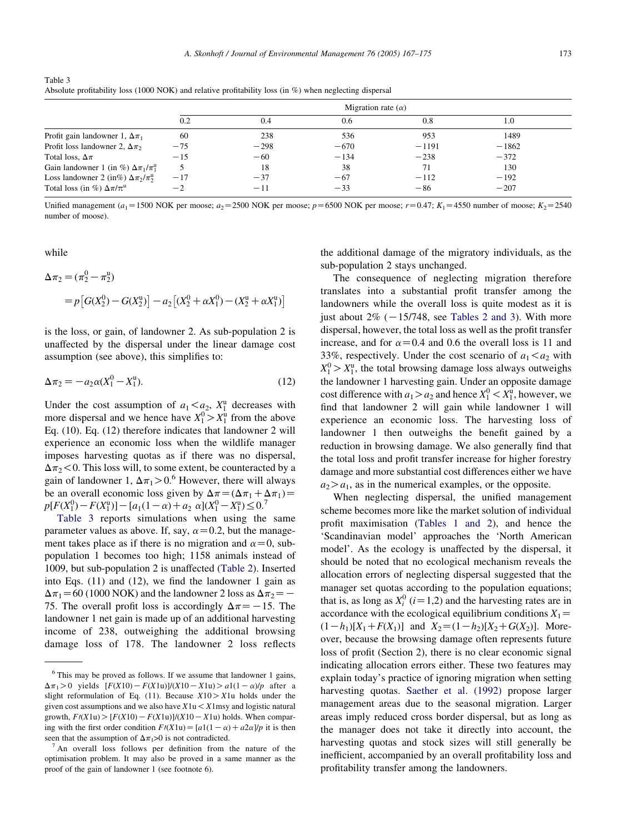| Table 3 |                                                                                                             |  |  |  |
|---------|-------------------------------------------------------------------------------------------------------------|--|--|--|
|         | Absolute profitability loss (1000 NOK) and relative profitability loss (in $\%$ ) when neglecting dispersal |  |  |  |

|                                                           | Migration rate $(\alpha)$ |        |        |         |         |  |
|-----------------------------------------------------------|---------------------------|--------|--------|---------|---------|--|
|                                                           | 0.2                       | 0.4    | 0.6    | 0.8     | 1.0     |  |
| Profit gain landowner 1, $\Delta \pi_1$                   | 60                        | 238    | 536    | 953     | 1489    |  |
| Profit loss landowner 2, $\Delta \pi_2$                   | $-75$                     | $-298$ | $-670$ | $-1191$ | $-1862$ |  |
| Total loss, $\Delta \pi$                                  | $-15$                     | $-60$  | $-134$ | $-238$  | $-372$  |  |
| Gain landowner 1 (in %) $\Delta \pi_1 / \pi_1^{\text{u}}$ |                           | 18     | 38     | 71      | 130     |  |
| Loss landowner 2 (in%) $\Delta \pi_2 / \pi_2^{\text{u}}$  | $-17$                     | $-37$  | $-67$  | $-112$  | $-192$  |  |
| Total loss (in %) $\Delta \pi / \pi^u$                    | $-2$                      | $-11$  | $-33$  | $-86$   | $-207$  |  |

Unified management (a<sub>1</sub>=1500 NOK per moose; a<sub>2</sub>=2500 NOK per moose; p=6500 NOK per moose; r=0.47; K<sub>1</sub>=4550 number of moose; K<sub>2</sub>=2540 number of moose).

while

$$
\Delta \pi_2 = (\pi_2^0 - \pi_2^u)
$$
  
=  $p \left[ G(X_2^0) - G(X_2^u) \right] - a_2 \left[ (X_2^0 + \alpha X_1^0) - (X_2^u + \alpha X_1^u) \right]$ 

is the loss, or gain, of landowner 2. As sub-population 2 is unaffected by the dispersal under the linear damage cost assumption (see above), this simplifies to:

$$
\Delta \pi_2 = -a_2 \alpha (X_1^0 - X_1^0). \tag{12}
$$

Under the cost assumption of  $a_1 < a_2$ ,  $X_1^u$  decreases with more dispersal and we hence have  $X_1^0 > X_1^0$  from the above Eq. (10). Eq. (12) therefore indicates that landowner 2 will experience an economic loss when the wildlife manager imposes harvesting quotas as if there was no dispersal,  $\Delta \pi$ <sub>2</sub> < 0. This loss will, to some extent, be counteracted by a gain of landowner 1,  $\Delta \pi_1 > 0.6$  However, there will always be an overall economic loss given by  $\Delta \pi = (\Delta \pi_1 + \Delta \pi_1)$  $p[F(X_1^0) - F(X_1^u)] - [a_1(1 - \alpha) + a_2 \alpha](X_1^0 - X_1^u) \leq 0$ .

Table 3 reports simulations when using the same parameter values as above. If, say,  $\alpha$  = 0.2, but the management takes place as if there is no migration and  $\alpha=0$ , subpopulation 1 becomes too high; 1158 animals instead of 1009, but sub-population 2 is unaffected [\(Table 2\)](#page-5-0). Inserted into Eqs. (11) and (12), we find the landowner 1 gain as  $\Delta \pi_1$  = 60 (1000 NOK) and the landowner 2 loss as  $\Delta \pi_2$  = -75. The overall profit loss is accordingly  $\Delta \pi$  = -15. The landowner 1 net gain is made up of an additional harvesting income of 238, outweighing the additional browsing damage loss of 178. The landowner 2 loss reflects

the additional damage of the migratory individuals, as the sub-population 2 stays unchanged.

The consequence of neglecting migration therefore translates into a substantial profit transfer among the landowners while the overall loss is quite modest as it is just about  $2\%$  ( $-15/748$ , see [Tables 2 and 3](#page-5-0)). With more dispersal, however, the total loss as well as the profit transfer increase, and for  $\alpha$ =0.4 and 0.6 the overall loss is 11 and 33%, respectively. Under the cost scenario of  $a_1 < a_2$  with  $X_1^0 > X_1^u$ , the total browsing damage loss always outweighs the landowner 1 harvesting gain. Under an opposite damage cost difference with  $a_1 > a_2$  and hence  $X_1^0 < X_1^0$ , however, we find that landowner 2 will gain while landowner 1 will experience an economic loss. The harvesting loss of landowner 1 then outweighs the benefit gained by a reduction in browsing damage. We also generally find that the total loss and profit transfer increase for higher forestry damage and more substantial cost differences either we have  $a_2 > a_1$ , as in the numerical examples, or the opposite.

When neglecting dispersal, the unified management scheme becomes more like the market solution of individual profit maximisation [\(Tables 1 and 2](#page-5-0)), and hence the 'Scandinavian model' approaches the 'North American model'. As the ecology is unaffected by the dispersal, it should be noted that no ecological mechanism reveals the allocation errors of neglecting dispersal suggested that the manager set quotas according to the population equations; that is, as long as  $X_i^0$  (*i* = 1,2) and the harvesting rates are in accordance with the ecological equilibrium conditions  $X_1 =$  $(1-h_1)[X_1+F(X_1)]$  and  $X_2=(1-h_2)[X_2+G(X_2)]$ . Moreover, because the browsing damage often represents future loss of profit (Section 2), there is no clear economic signal indicating allocation errors either. These two features may explain today's practice of ignoring migration when setting harvesting quotas. [Saether et al. \(1992\)](#page-8-0) propose larger management areas due to the seasonal migration. Larger areas imply reduced cross border dispersal, but as long as the manager does not take it directly into account, the harvesting quotas and stock sizes will still generally be inefficient, accompanied by an overall profitability loss and profitability transfer among the landowners.

 $6$  This may be proved as follows. If we assume that landowner 1 gains,  $\Delta \pi_1 > 0$  yields  $[F(X10) - F(X1u)]/(X10 - X1u) > a1(1-\alpha)/p$  after a slight reformulation of Eq. (11). Because  $X10 > X1$ u holds under the given cost assumptions and we also have  $X1u < X1$ msy and logistic natural growth,  $F/(X1u)$   $\geq$   $[F(X10) - F(X1u)]/(X10 - X1u)$  holds. When comparing with the first order condition  $F/(X1u) = [a1(1-\alpha) + a2\alpha]/p$  it is then seen that the assumption of  $\Delta \pi_1 > 0$  is not contradicted.

An overall loss follows per definition from the nature of the optimisation problem. It may also be proved in a same manner as the proof of the gain of landowner 1 (see footnote 6).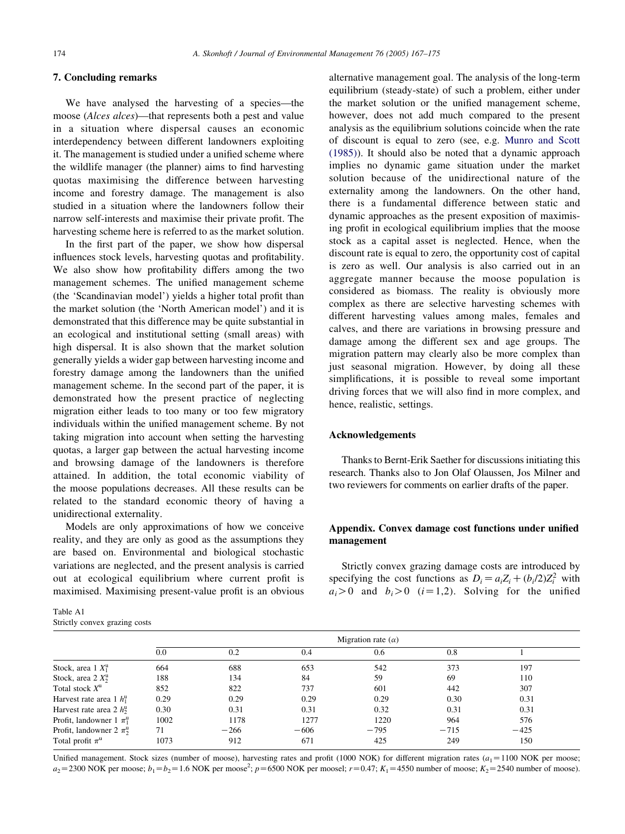## <span id="page-7-0"></span>7. Concluding remarks

We have analysed the harvesting of a species—the moose (*Alces alces*)—that represents both a pest and value in a situation where dispersal causes an economic interdependency between different landowners exploiting it. The management is studied under a unified scheme where the wildlife manager (the planner) aims to find harvesting quotas maximising the difference between harvesting income and forestry damage. The management is also studied in a situation where the landowners follow their narrow self-interests and maximise their private profit. The harvesting scheme here is referred to as the market solution.

In the first part of the paper, we show how dispersal influences stock levels, harvesting quotas and profitability. We also show how profitability differs among the two management schemes. The unified management scheme (the 'Scandinavian model') yields a higher total profit than the market solution (the 'North American model') and it is demonstrated that this difference may be quite substantial in an ecological and institutional setting (small areas) with high dispersal. It is also shown that the market solution generally yields a wider gap between harvesting income and forestry damage among the landowners than the unified management scheme. In the second part of the paper, it is demonstrated how the present practice of neglecting migration either leads to too many or too few migratory individuals within the unified management scheme. By not taking migration into account when setting the harvesting quotas, a larger gap between the actual harvesting income and browsing damage of the landowners is therefore attained. In addition, the total economic viability of the moose populations decreases. All these results can be related to the standard economic theory of having a unidirectional externality.

Models are only approximations of how we conceive reality, and they are only as good as the assumptions they are based on. Environmental and biological stochastic variations are neglected, and the present analysis is carried out at ecological equilibrium where current profit is maximised. Maximising present-value profit is an obvious

| Table A1 |                               |  |
|----------|-------------------------------|--|
|          | Strictly convex grazing costs |  |

alternative management goal. The analysis of the long-term equilibrium (steady-state) of such a problem, either under the market solution or the unified management scheme, however, does not add much compared to the present analysis as the equilibrium solutions coincide when the rate of discount is equal to zero (see, e.g. [Munro and Scott](#page-8-0) [\(1985\)](#page-8-0)). It should also be noted that a dynamic approach implies no dynamic game situation under the market solution because of the unidirectional nature of the externality among the landowners. On the other hand, there is a fundamental difference between static and dynamic approaches as the present exposition of maximising profit in ecological equilibrium implies that the moose stock as a capital asset is neglected. Hence, when the discount rate is equal to zero, the opportunity cost of capital is zero as well. Our analysis is also carried out in an aggregate manner because the moose population is considered as biomass. The reality is obviously more complex as there are selective harvesting schemes with different harvesting values among males, females and calves, and there are variations in browsing pressure and damage among the different sex and age groups. The migration pattern may clearly also be more complex than just seasonal migration. However, by doing all these simplifications, it is possible to reveal some important driving forces that we will also find in more complex, and hence, realistic, settings.

#### Acknowledgements

Thanks to Bernt-Erik Saether for discussions initiating this research. Thanks also to Jon Olaf Olaussen, Jos Milner and two reviewers for comments on earlier drafts of the paper.

## Appendix. Convex damage cost functions under unified management

Strictly convex grazing damage costs are introduced by specifying the cost functions as  $D_i = a_i Z_i + (b_i/2)Z_i^2$  with  $a_i>0$  and  $b_i>0$   $(i=1,2)$ . Solving for the unified

|                                        | Migration rate $(\alpha)$ |        |        |        |        |        |  |  |
|----------------------------------------|---------------------------|--------|--------|--------|--------|--------|--|--|
|                                        | 0.0                       | 0.2    | 0.4    | 0.6    | 0.8    |        |  |  |
| Stock, area $1 X_1^u$                  | 664                       | 688    | 653    | 542    | 373    | 197    |  |  |
| Stock, area $2 X_2^u$                  | 188                       | 134    | 84     | 59     | 69     | 110    |  |  |
| Total stock $X^u$                      | 852                       | 822    | 737    | 601    | 442    | 307    |  |  |
| Harvest rate area 1 $h_1^{\mathrm{u}}$ | 0.29                      | 0.29   | 0.29   | 0.29   | 0.30   | 0.31   |  |  |
| Harvest rate area 2 $h_2^{\rm u}$      | 0.30                      | 0.31   | 0.31   | 0.32   | 0.31   | 0.31   |  |  |
| Profit, landowner 1 $\pi_1^u$          | 1002                      | 1178   | 1277   | 1220   | 964    | 576    |  |  |
| Profit, landowner 2 $\pi_2^{\rm u}$    | 71                        | $-266$ | $-606$ | $-795$ | $-715$ | $-425$ |  |  |
| Total profit $\pi^u$                   | 1073                      | 912    | 671    | 425    | 249    | 150    |  |  |

Unified management. Stock sizes (number of moose), harvesting rates and profit (1000 NOK) for different migration rates  $(a_1 = 1100 \text{ NOK per moose};$  $a_2$ =2300 NOK per moose;  $b_1 = b_2$ =1.6 NOK per moose<sup>2</sup>;  $p$ =6500 NOK per moosel;  $r$ =0.47;  $K_1$ =4550 number of moose;  $K_2$ =2540 number of moose).